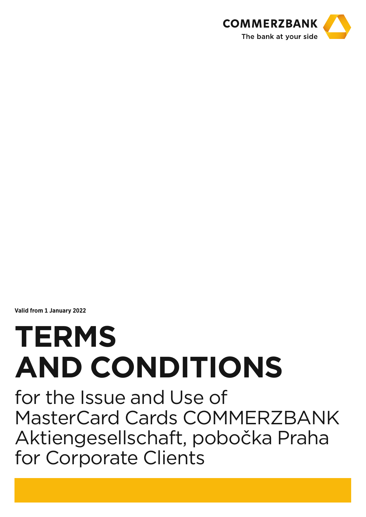

**Valid from 1 January 2022**

# **TERMS AND CONDITIONS**

for the Issue and Use of MasterCard Cards COMMERZBANK Aktiengesellschaft, pobočka Praha for Corporate Clients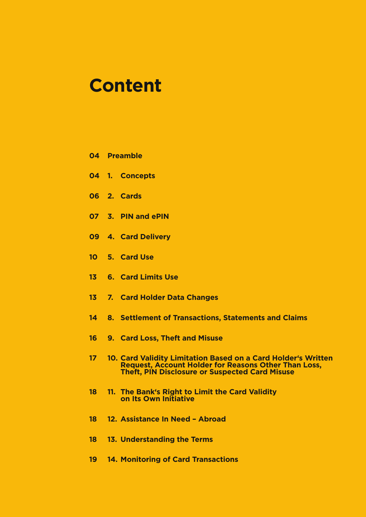# **Content**

- **Preamble**
- **1. Concepts**
- **2. Cards**
- **3. PIN and ePIN**
- **4. Card Delivery**
- **5. Card Use**
- **6. Card Limits Use**
- **7. Card Holder Data Changes**
- **8. Settlement of Transactions, Statements and Claims**
- **9. Card Loss, Theft and Misuse**
- **10. Card Validity Limitation Based on a Card Holder's Written Request, Account Holder for Reasons Other Than Loss, Theft, PIN Disclosure or Suspected Card Misuse**
- **11. The Bank's Right to Limit the Card Validity on Its Own Initiative**
- **12. Assistance In Need Abroad**
- **13. Understanding the Terms**
- **14. Monitoring of Card Transactions**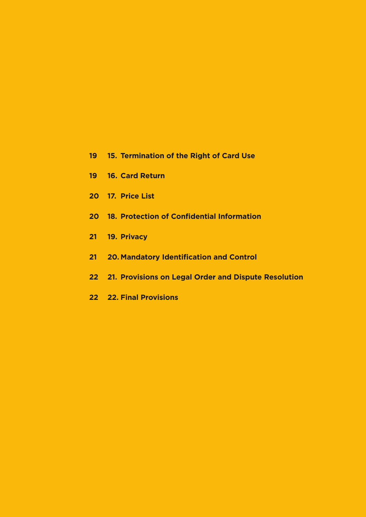- **15. Termination of the Right of Card Use**
- **16. Card Return**
- **17. Price List**
- **18. Protection of Confidential Information**
- **19. Privacy**
- **20. Mandatory Identification and Control**
- **21. Provisions on Legal Order and Dispute Resolution**
- **22. Final Provisions**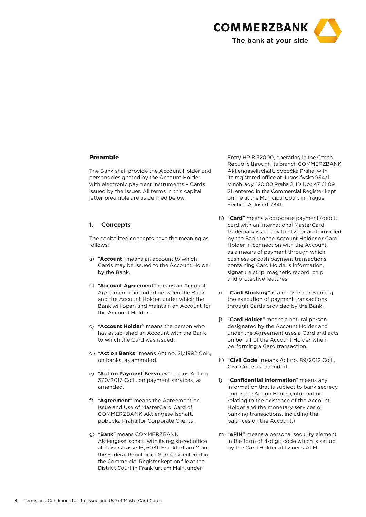

#### **Preamble**

The Bank shall provide the Account Holder and persons designated by the Account Holder with electronic payment instruments – Cards issued by the Issuer. All terms in this capital letter preamble are as defined below.

#### **1. Concepts**

The capitalized concepts have the meaning as follows:

- a) "**Account**" means an account to which Cards may be issued to the Account Holder by the Bank.
- b) "**Account Agreement**" means an Account Agreement concluded between the Bank and the Account Holder, under which the Bank will open and maintain an Account for the Account Holder.
- c) "**Account Holder**" means the person who has established an Account with the Bank to which the Card was issued.
- d) "**Act on Banks**" means Act no. 21/1992 Coll., on banks, as amended.
- e) "**Act on Payment Services**" means Act no. 370/2017 Coll., on payment services, as amended.
- f) "**Agreement**" means the Agreement on Issue and Use of MasterCard Card of COMMERZBANK Aktiengesellschaft, pobočka Praha for Corporate Clients.
- g) "**Bank**" means COMMERZBANK Aktiengesellschaft, with its registered office at Kaiserstrasse 16, 60311 Frankfurt am Main, the Federal Republic of Germany, entered in the Commercial Register kept on file at the District Court in Frankfurt am Main, under

Entry HR B 32000, operating in the Czech Republic through its branch COMMERZBANK Aktiengesellschaft, pobočka Praha, with its registered office at Jugoslávská 934/1, Vinohrady, 120 00 Praha 2, ID No.: 47 61 09 21, entered in the Commercial Register kept on file at the Municipal Court in Prague, Section A, Insert 7341.

- h) "**Card**" means a corporate payment (debit) card with an international MasterCard trademark issued by the Issuer and provided by the Bank to the Account Holder or Card Holder in connection with the Account, as a means of payment through which cashless or cash payment transactions, containing Card Holder's information, signature strip, magnetic record, chip and protective features.
- i) "**Card Blocking**" is a measure preventing the execution of payment transactions through Cards provided by the Bank.
- j) "**Card Holder**" means a natural person designated by the Account Holder and under the Agreement uses a Card and acts on behalf of the Account Holder when performing a Card transaction.
- k) "**Civil Code**" means Act no. 89/2012 Coll., Civil Code as amended.
- l) "**Confidential Information**" means any information that is subject to bank secrecy under the Act on Banks (information relating to the existence of the Account Holder and the monetary services or banking transactions, including the balances on the Account.)
- m) "**ePIN**" means a personal security element in the form of 4-digit code which is set up by the Card Holder at Issuer's ATM.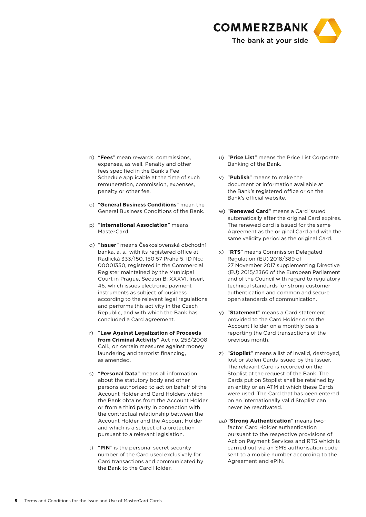

- n) "**Fees**" mean rewards, commissions, expenses, as well. Penalty and other fees specified in the Bank's Fee Schedule applicable at the time of such remuneration, commission, expenses, penalty or other fee.
- o) "**General Business Conditions**" mean the General Business Conditions of the Bank.
- p) "**International Association**" means MasterCard.
- q) "**Issuer**" means Československá obchodní banka, a. s., with its registered office at Radlická 333/150, 150 57 Praha 5, ID No.: 00001350, registered in the Commercial Register maintained by the Municipal Court in Prague, Section B: XXXVI, Insert 46, which issues electronic payment instruments as subject of business according to the relevant legal regulations and performs this activity in the Czech Republic, and with which the Bank has concluded a Card agreement.
- r) "**Law Against Legalization of Proceeds from Criminal Activity**" Act no. 253/2008 Coll., on certain measures against money laundering and terrorist financing, as amended.
- s) "**Personal Data**" means all information about the statutory body and other persons authorized to act on behalf of the Account Holder and Card Holders which the Bank obtains from the Account Holder or from a third party in connection with the contractual relationship between the Account Holder and the Account Holder and which is a subject of a protection pursuant to a relevant legislation.
- t) "**PIN**" is the personal secret security number of the Card used exclusively for Card transactions and communicated by the Bank to the Card Holder.
- u) "**Price List**" means the Price List Corporate Banking of the Bank.
- v) "**Publish**" means to make the document or information available at the Bank's registered office or on the Bank's official website.
- w) "**Renewed Card**" means a Card issued automatically after the original Card expires. The renewed card is issued for the same Agreement as the original Card and with the same validity period as the original Card.
- x) "**RTS**" means Commission Delegated Regulation (EU) 2018/389 of 27 November 2017 supplementing Directive (EU) 2015/2366 of the European Parliament and of the Council with regard to regulatory technical standards for strong customer authentication and common and secure open standards of communication.
- y) "**Statement**" means a Card statement provided to the Card Holder or to the Account Holder on a monthly basis reporting the Card transactions of the previous month.
- z) "**Stoplist**" means a list of invalid, destroyed, lost or stolen Cards issued by the Issuer. The relevant Card is recorded on the Stoplist at the request of the Bank. The Cards put on Stoplist shall be retained by an entity or an ATM at which these Cards were used. The Card that has been entered on an internationally valid Stoplist can never be reactivated.
- aa)"**Strong Authentication**" means twofactor Card Holder authentication pursuant to the respective provisions of Act on Payment Services and RTS which is carried out via an SMS authorisation code sent to a mobile number according to the Agreement and ePIN.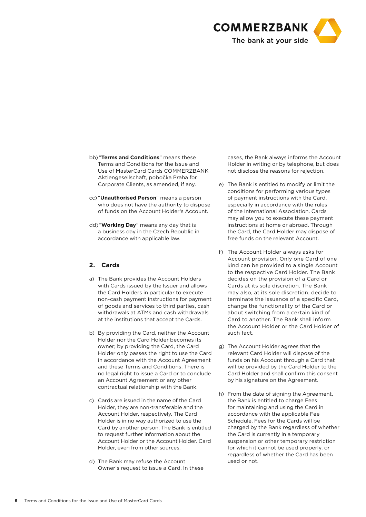

- bb) "**Terms and Conditions**" means these Terms and Conditions for the Issue and Use of MasterCard Cards COMMERZBANK Aktiengesellschaft, pobočka Praha for Corporate Clients, as amended, if any.
- cc) "**Unauthorised Person**" means a person who does not have the authority to dispose of funds on the Account Holder's Account.
- dd)"**Working Day**" means any day that is a business day in the Czech Republic in accordance with applicable law.

#### **2. Cards**

- a) The Bank provides the Account Holders with Cards issued by the Issuer and allows the Card Holders in particular to execute non-cash payment instructions for payment of goods and services to third parties, cash withdrawals at ATMs and cash withdrawals at the institutions that accept the Cards.
- b) By providing the Card, neither the Account Holder nor the Card Holder becomes its owner; by providing the Card, the Card Holder only passes the right to use the Card in accordance with the Account Agreement and these Terms and Conditions. There is no legal right to issue a Card or to conclude an Account Agreement or any other contractual relationship with the Bank.
- c) Cards are issued in the name of the Card Holder, they are non-transferable and the Account Holder, respectively. The Card Holder is in no way authorized to use the Card by another person. The Bank is entitled to request further information about the Account Holder or the Account Holder. Card Holder, even from other sources.
- d) The Bank may refuse the Account Owner's request to issue a Card. In these

cases, the Bank always informs the Account Holder in writing or by telephone, but does not disclose the reasons for rejection.

- e) The Bank is entitled to modify or limit the conditions for performing various types of payment instructions with the Card, especially in accordance with the rules of the International Association. Cards may allow you to execute these payment instructions at home or abroad. Through the Card, the Card Holder may dispose of free funds on the relevant Account.
- f) The Account Holder always asks for Account provision. Only one Card of one kind can be provided to a single Account to the respective Card Holder. The Bank decides on the provision of a Card or Cards at its sole discretion. The Bank may also, at its sole discretion, decide to terminate the issuance of a specific Card, change the functionality of the Card or about switching from a certain kind of Card to another. The Bank shall inform the Account Holder or the Card Holder of such fact.
- g) The Account Holder agrees that the relevant Card Holder will dispose of the funds on his Account through a Card that will be provided by the Card Holder to the Card Holder and shall confirm this consent by his signature on the Agreement.
- h) From the date of signing the Agreement, the Bank is entitled to charge Fees for maintaining and using the Card in accordance with the applicable Fee Schedule. Fees for the Cards will be charged by the Bank regardless of whether the Card is currently in a temporary suspension or other temporary restriction for which it cannot be used properly, or regardless of whether the Card has been used or not.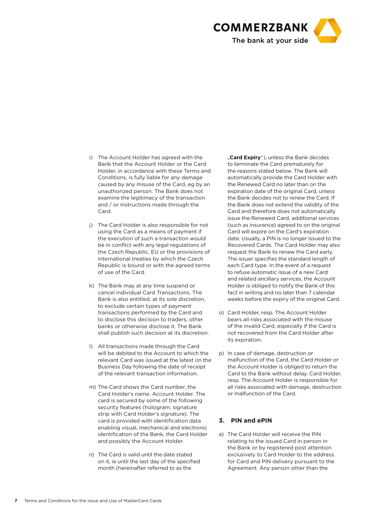

- i) The Account Holder has agreed with the Bank that the Account Holder or the Card Holder, in accordance with these Terms and Conditions, is fully liable for any damage caused by any misuse of the Card, eg by an unauthorized person. The Bank does not examine the legitimacy of the transaction and / or instructions made through the Card.
- j) The Card Holder is also responsible for not using the Card as a means of payment if the execution of such a transaction would be in conflict with any legal regulations of the Czech Republic, EU or the provisions of international treaties by which the Czech Republic is bound or with the agreed terms of use of the Card.
- k) The Bank may at any time suspend or cancel individual Card Transactions. The Bank is also entitled, at its sole discretion, to exclude certain types of payment transactions performed by the Card and to disclose this decision to traders, other banks or otherwise disclose it. The Bank shall publish such decision at its discretion.
- l) All transactions made through the Card will be debited to the Account to which the relevant Card was issued at the latest on the Business Day following the date of receipt of the relevant transaction information.
- m) The Card shows the Card number, the Card Holder's name. Account Holder. The card is secured by some of the following security features (hologram, signature strip with Card Holder's signature). The card is provided with identification data enabling visual, mechanical and electronic identification of the Bank, the Card Holder and possibly the Account Holder.
- n) The Card is valid until the date stated on it, ie until the last day of the specified month (hereinafter referred to as the

"Card Expiry"), unless the Bank decides to terminate the Card prematurely for the reasons stated below. The Bank will automatically provide the Card Holder with the Renewed Card no later than on the expiration date of the original Card, unless the Bank decides not to renew the Card. If the Bank does not extend the validity of the Card and therefore does not automatically issue the Renewed Card, additional services (such as insurance) agreed to on the original Card will expire on the Card's expiration date. Usually, a PIN is no longer issued to the Recovered Cards. The Card Holder may also request the Bank to renew the Card early. The issuer specifies the standard length of each Card type. In the event of a request to refuse automatic issue of a new Card and related ancillary services, the Account Holder is obliged to notify the Bank of this fact in writing and no later than 7 calendar weeks before the expiry of the original Card.

- o) Card Holder, resp. The Account Holder bears all risks associated with the misuse of the invalid Card, especially if the Card is not recovered from the Card Holder after its expiration.
- p) In case of damage, destruction or malfunction of the Card, the Card Holder or the Account Holder is obliged to return the Card to the Bank without delay. Card Holder, resp. The Account Holder is responsible for all risks associated with damage, destruction or malfunction of the Card.

# **3. PIN and ePIN**

a) The Card Holder will receive the PIN relating to the issued Card in person in the Bank or by registered post attention exclusively to Card Holder to the address for Card and PIN delivery pursuant to the Agreement. Any person other than the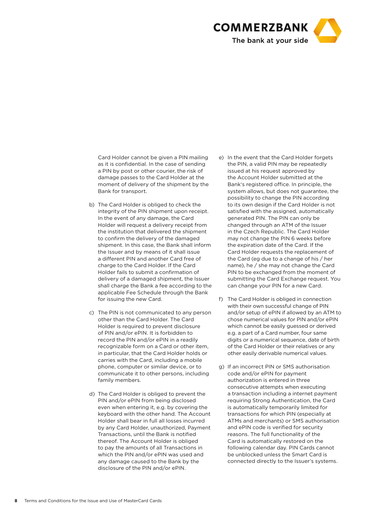

Card Holder cannot be given a PIN mailing as it is confidential. In the case of sending a PIN by post or other courier, the risk of damage passes to the Card Holder at the moment of delivery of the shipment by the Bank for transport.

- b) The Card Holder is obliged to check the integrity of the PIN shipment upon receipt. In the event of any damage, the Card Holder will request a delivery receipt from the institution that delivered the shipment to confirm the delivery of the damaged shipment. In this case, the Bank shall inform the Issuer and by means of it shall issue a different PIN and another Card free of charge to the Card Holder. If the Card Holder fails to submit a confirmation of delivery of a damaged shipment, the Issuer shall charge the Bank a fee according to the applicable Fee Schedule through the Bank for issuing the new Card.
- c) The PIN is not communicated to any person other than the Card Holder. The Card Holder is required to prevent disclosure of PIN and/or ePIN. It is forbidden to record the PIN and/or ePIN in a readily recognizable form on a Card or other item, in particular, that the Card Holder holds or carries with the Card, including a mobile phone, computer or similar device, or to communicate it to other persons, including family members.
- d) The Card Holder is obliged to prevent the PIN and/or ePIN from being disclosed even when entering it, e.g. by covering the keyboard with the other hand. The Account Holder shall bear in full all losses incurred by any Card Holder, unauthorized, Payment Transactions, until the Bank is notified thereof. The Account Holder is obliged to pay the amounts of all Transactions in which the PIN and/or ePIN was used and any damage caused to the Bank by the disclosure of the PIN and/or ePIN.
- e) In the event that the Card Holder forgets the PIN, a valid PIN may be repeatedly issued at his request approved by the Account Holder submitted at the Bank's registered office. In principle, the system allows, but does not guarantee, the possibility to change the PIN according to its own design if the Card Holder is not satisfied with the assigned, automatically generated PIN. The PIN can only be changed through an ATM of the Issuer in the Czech Republic. The Card Holder may not change the PIN 6 weeks before the expiration date of the Card. If the Card Holder requests the replacement of the Card (eg due to a change of his / her name), he / she may not change the Card PIN to be exchanged from the moment of submitting the Card Exchange request. You can change your PIN for a new Card.
- f) The Card Holder is obliged in connection with their own successful change of PIN and/or setup of ePIN if allowed by an ATM to chose numerical values for PIN and/or ePIN which cannot be easily guessed or derived e.g. a part of a Card number, four same digits or a numerical sequence, date of birth of the Card Holder or their relatives or any other easily derivable numerical values.
- g) If an incorrect PIN or SMS authorisation code and/or ePIN for payment authorization is entered in three consecutive attempts when executing a transaction including a internet payment requiring Strong Authentication, the Card is automatically temporarily limited for transactions for which PIN (especially at ATMs and merchants) or SMS authorisation and ePIN code is verified for security reasons. The full functionality of the Card is automatically restored on the following calendar day. PIN Cards cannot be unblocked unless the Smart Card is connected directly to the Issuer's systems.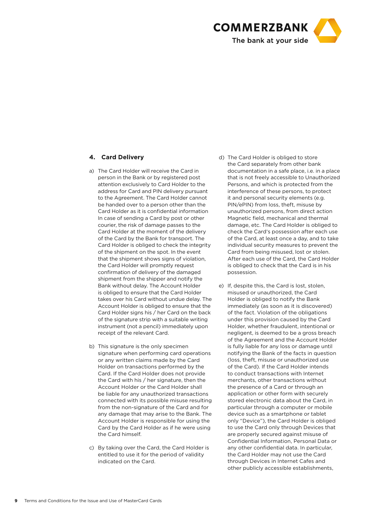

# **4. Card Delivery**

- a) The Card Holder will receive the Card in person in the Bank or by registered post attention exclusively to Card Holder to the address for Card and PIN delivery pursuant to the Agreement. The Card Holder cannot be handed over to a person other than the Card Holder as it is confidential information In case of sending a Card by post or other courier, the risk of damage passes to the Card Holder at the moment of the delivery of the Card by the Bank for transport. The Card Holder is obliged to check the integrity of the shipment on the spot. In the event that the shipment shows signs of violation, the Card Holder will promptly request confirmation of delivery of the damaged shipment from the shipper and notify the Bank without delay. The Account Holder is obliged to ensure that the Card Holder takes over his Card without undue delay. The Account Holder is obliged to ensure that the Card Holder signs his / her Card on the back of the signature strip with a suitable writing instrument (not a pencil) immediately upon receipt of the relevant Card.
- b) This signature is the only specimen signature when performing card operations or any written claims made by the Card Holder on transactions performed by the Card. If the Card Holder does not provide the Card with his / her signature, then the Account Holder or the Card Holder shall be liable for any unauthorized transactions connected with its possible misuse resulting from the non-signature of the Card and for any damage that may arise to the Bank. The Account Holder is responsible for using the Card by the Card Holder as if he were using the Card himself.
- c) By taking over the Card, the Card Holder is entitled to use it for the period of validity indicated on the Card.
- d) The Card Holder is obliged to store the Card separately from other bank documentation in a safe place, i.e. in a place that is not freely accessible to Unauthorized Persons, and which is protected from the interference of these persons, to protect it and personal security elements (e.g. PIN/ePIN) from loss, theft, misuse by unauthorized persons, from direct action Magnetic field, mechanical and thermal damage, etc. The Card Holder is obliged to check the Card's possession after each use of the Card, at least once a day, and to take individual security measures to prevent the Card from being misused, lost or stolen. After each use of the Card, the Card Holder is obliged to check that the Card is in his possession.
- e) If, despite this, the Card is lost, stolen, misused or unauthorized, the Card Holder is obliged to notify the Bank immediately (as soon as it is discovered) of the fact. Violation of the obligations under this provision caused by the Card Holder, whether fraudulent, intentional or negligent, is deemed to be a gross breach of the Agreement and the Account Holder is fully liable for any loss or damage until notifying the Bank of the facts in question (loss, theft, misuse or unauthorized use of the Card). If the Card Holder intends to conduct transactions with Internet merchants, other transactions without the presence of a Card or through an application or other form with securely stored electronic data about the Card, in particular through a computer or mobile device such as a smartphone or tablet only "Device"), the Card Holder is obliged to use the Card only through Devices that are properly secured against misuse of Confidential Information, Personal Data or any other confidential data. In particular, the Card Holder may not use the Card through Devices in Internet Cafes and other publicly accessible establishments,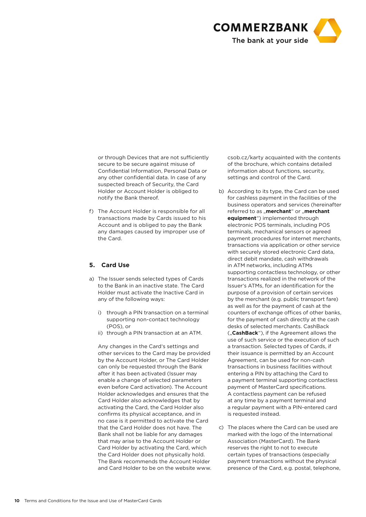

or through Devices that are not sufficiently secure to be secure against misuse of Confidential Information, Personal Data or any other confidential data. In case of any suspected breach of Security, the Card Holder or Account Holder is obliged to notify the Bank thereof.

f) The Account Holder is responsible for all transactions made by Cards issued to his Account and is obliged to pay the Bank any damages caused by improper use of the Card.

# **5. Card Use**

- a) The Issuer sends selected types of Cards to the Bank in an inactive state. The Card Holder must activate the Inactive Card in any of the following ways:
	- i) through a PIN transaction on a terminal supporting non-contact technology (POS), or
	- ii) through a PIN transaction at an ATM.

Any changes in the Card's settings and other services to the Card may be provided by the Account Holder, or The Card Holder can only be requested through the Bank after it has been activated (Issuer may enable a change of selected parameters even before Card activation). The Account Holder acknowledges and ensures that the Card Holder also acknowledges that by activating the Card, the Card Holder also confirms its physical acceptance, and in no case is it permitted to activate the Card that the Card Holder does not have. The Bank shall not be liable for any damages that may arise to the Account Holder or Card Holder by activating the Card, which the Card Holder does not physically hold. The Bank recommends the Account Holder and Card Holder to be on the website www. csob.cz/karty acquainted with the contents of the brochure, which contains detailed information about functions, security, settings and control of the Card.

- b) According to its type, the Card can be used for cashless payment in the facilities of the business operators and services (hereinafter referred to as "merchant" or "merchant **equipment**") implemented through electronic POS terminals, including POS terminals, mechanical sensors or agreed payment procedures for internet merchants, transactions via application or other service with securely stored electronic Card data, direct debit mandate, cash withdrawals in ATM networks, including ATMs supporting contactless technology, or other transactions realized in the network of the Issuer's ATMs, for an identification for the purpose of a provision of certain services by the merchant (e.g. public transport fare) as well as for the payment of cash at the counters of exchange offices of other banks, for the payment of cash directly at the cash desks of selected merchants. CashBack ("**CashBack**"), if the Agreement allows the use of such service or the execution of such a transaction. Selected types of Cards, if their issuance is permitted by an Account Agreement, can be used for non-cash transactions in business facilities without entering a PIN by attaching the Card to a payment terminal supporting contactless payment of MasterCard specifications. A contactless payment can be refused at any time by a payment terminal and a regular payment with a PIN-entered card is requested instead.
- c) The places where the Card can be used are marked with the logo of the International Association (MasterCard). The Bank reserves the right to not to execute certain types of transactions (especially payment transactions without the physical presence of the Card, e.g. postal, telephone,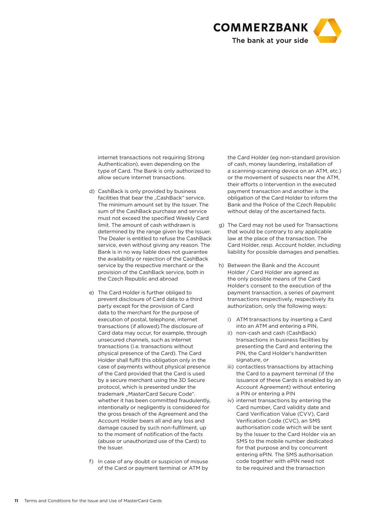

internet transactions not requiring Strong Authentication), even depending on the type of Card. The Bank is only authorized to allow secure Internet transactions.

- d) CashBack is only provided by business facilities that bear the "CashBack" service. The minimum amount set by the Issuer. The sum of the CashBack purchase and service must not exceed the specified Weekly Card limit. The amount of cash withdrawn is determined by the range given by the Issuer. The Dealer is entitled to refuse the CashBack service, even without giving any reason. The Bank is in no way liable does not guarantee the availability or rejection of the CashBack service by the respective merchant or the provision of the CashBack service, both in the Czech Republic and abroad
- e) The Card Holder is further obliged to prevent disclosure of Card data to a third party except for the provision of Card data to the merchant for the purpose of execution of postal, telephone, internet transactions (if allowed).The disclosure of Card data may occur, for example, through unsecured channels, such as internet transactions (i.e. transactions without physical presence of the Card). The Card Holder shall fulfil this obligation only in the case of payments without physical presence of the Card provided that the Card is used by a secure merchant using the 3D Secure protocol, which is presented under the trademark "MasterCard Secure Code". whether it has been committed fraudulently, intentionally or negligently is considered for the gross breach of the Agreement and the Account Holder bears all and any loss and damage caused by such non-fulfilment, up to the moment of notification of the facts (abuse or unauthorized use of the Card) to the Issuer.
- f) In case of any doubt or suspicion of misuse of the Card or payment terminal or ATM by

the Card Holder (eg non-standard provision of cash, money laundering, installation of a scanning-scanning device on an ATM, etc.) or the movement of suspects near the ATM, their efforts o Intervention in the executed payment transaction and another is the obligation of the Card Holder to inform the Bank and the Police of the Czech Republic without delay of the ascertained facts.

- g) The Card may not be used for Transactions that would be contrary to any applicable law at the place of the transaction. The Card Holder, resp. Account holder, including liability for possible damages and penalties.
- h) Between the Bank and the Account Holder / Card Holder are agreed as the only possible means of the Card Holder's consent to the execution of the payment transaction, a series of payment transactions respectively, respectively its authorization, only the following ways:
	- i) ATM transactions by inserting a Card into an ATM and entering a PIN,
	- ii) non-cash and cash (CashBack) transactions in business facilities by presenting the Card and entering the PIN, the Card Holder's handwritten signature, or
	- iii) contactless transactions by attaching the Card to a payment terminal (if the issuance of these Cards is enabled by an Account Agreement) without entering a PIN or entering a PIN
	- iv) internet transactions by entering the Card number, Card validity date and Card Verification Value (CVV), Card Verification Code (CVC), an SMS authorisation code which will be sent by the Issuer to the Card Holder via an SMS to the mobile number dedicated for that purpose and by concurrent entering ePIN. The SMS authorisation code together with ePIN need not to be required and the transaction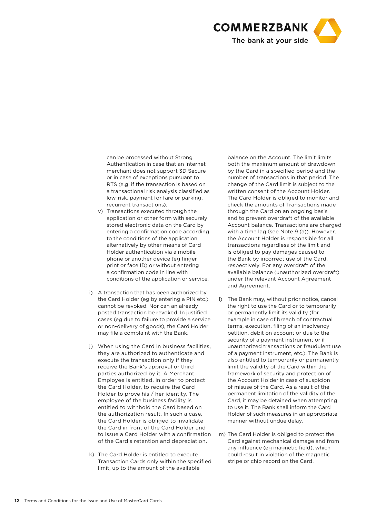

can be processed without Strong Authentication in case that an internet merchant does not support 3D Secure or in case of exceptions pursuant to RTS (e.g. if the transaction is based on a transactional risk analysis classified as low-risk, payment for fare or parking, recurrent transactions).

- v) Transactions executed through the application or other form with securely stored electronic data on the Card by entering a confirmation code according to the conditions of the application alternatively by other means of Card Holder authentication via a mobile phone or another device (eg finger print or face ID) or without entering a confirmation code in line with conditions of the application or service.
- i) A transaction that has been authorized by the Card Holder (eg by entering a PIN etc.) cannot be revoked. Nor can an already posted transaction be revoked. In justified cases (eg due to failure to provide a service or non-delivery of goods), the Card Holder may file a complaint with the Bank.
- j) When using the Card in business facilities, they are authorized to authenticate and execute the transaction only if they receive the Bank's approval or third parties authorized by it. A Merchant Employee is entitled, in order to protect the Card Holder, to require the Card Holder to prove his / her identity. The employee of the business facility is entitled to withhold the Card based on the authorization result. In such a case, the Card Holder is obliged to invalidate the Card in front of the Card Holder and to issue a Card Holder with a confirmation of the Card's retention and depreciation.
- k) The Card Holder is entitled to execute Transaction Cards only within the specified limit, up to the amount of the available

balance on the Account. The limit limits both the maximum amount of drawdown by the Card in a specified period and the number of transactions in that period. The change of the Card limit is subject to the written consent of the Account Holder. The Card Holder is obliged to monitor and check the amounts of Transactions made through the Card on an ongoing basis and to prevent overdraft of the available Account balance. Transactions are charged with a time lag (see Note 9 (a)). However, the Account Holder is responsible for all transactions regardless of the limit and is obliged to pay damages caused to the Bank by incorrect use of the Card, respectively. For any overdraft of the available balance (unauthorized overdraft) under the relevant Account Agreement and Agreement.

- l) The Bank may, without prior notice, cancel the right to use the Card or to temporarily or permanently limit its validity (for example in case of breach of contractual terms, execution, filing of an insolvency petition, debit on account or due to the security of a payment instrument or if unauthorized transactions or fraudulent use of a payment instrument, etc.). The Bank is also entitled to temporarily or permanently limit the validity of the Card within the framework of security and protection of the Account Holder in case of suspicion of misuse of the Card. As a result of the permanent limitation of the validity of the Card, it may be detained when attempting to use it. The Bank shall inform the Card Holder of such measures in an appropriate manner without undue delay.
- m) The Card Holder is obliged to protect the Card against mechanical damage and from any influence (eg magnetic field), which could result in violation of the magnetic stripe or chip record on the Card.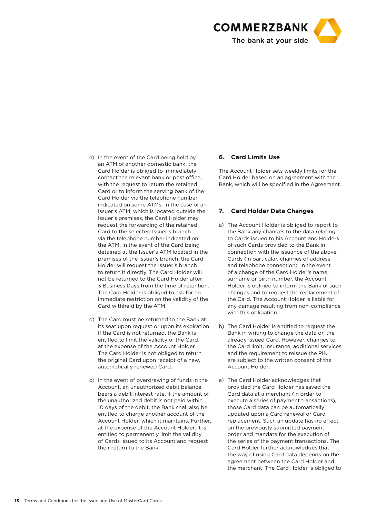

- n) In the event of the Card being held by an ATM of another domestic bank, the Card Holder is obliged to immediately contact the relevant bank or post office, with the request to return the retained Card or to inform the serving bank of the Card Holder via the telephone number indicated on some ATMs. In the case of an Issuer's ATM, which is located outside the Issuer's premises, the Card Holder may request the forwarding of the retained Card to the selected Issuer's branch via the telephone number indicated on the ATM. In the event of the Card being detained at the Issuer's ATM located in the premises of the Issuer's branch, the Card Holder will request the Issuer's branch to return it directly. The Card Holder will not be returned to the Card Holder after 3 Business Days from the time of retention. The Card Holder is obliged to ask for an immediate restriction on the validity of the Card withheld by the ATM.
- o) The Card must be returned to the Bank at its seat upon request or upon its expiration. If the Card is not returned, the Bank is entitled to limit the validity of the Card, at the expense of the Account Holder. The Card Holder is not obliged to return the original Card upon receipt of a new, automatically renewed Card.
- p) In the event of overdrawing of funds in the Account, an unauthorized debit balance bears a debit interest rate. If the amount of the unauthorized debit is not paid within 10 days of the debit, the Bank shall also be entitled to charge another account of the Account Holder, which it maintains. Further, at the expense of the Account Holder, it is entitled to permanently limit the validity of Cards issued to its Account and request their return to the Bank.

## **6. Card Limits Use**

The Account Holder sets weekly limits for the Card Holder based on an agreement with the Bank, which will be specified in the Agreement.

## **7. Card Holder Data Changes**

- a) The Account Holder is obliged to report to the Bank any changes to the data relating to Cards issued to his Account and Holders of such Cards provided to the Bank in connection with the issuance of the above Cards (in particular, changes of address and telephone connection). In the event of a change of the Card Holder's name, surname or birth number, the Account Holder is obliged to inform the Bank of such changes and to request the replacement of the Card. The Account Holder is liable for any damage resulting from non-compliance with this obligation.
- b) The Card Holder is entitled to request the Bank in writing to change the data on the already issued Card. However, changes to the Card limit, insurance, additional services and the requirement to reissue the PIN are subject to the written consent of the Account Holder.
- a) The Card Holder acknowledges that provided the Card Holder has saved the Card data at a merchant (in order to execute a series of payment transactions), those Card data can be automatically updated upon a Card renewal or Card replacement. Such an update has no effect on the previously submitted payment order and mandate for the execution of the series of the payment transactions. The Card Holder further acknowledges that the way of using Card data depends on the agreement between the Card Holder and the merchant. The Card Holder is obliged to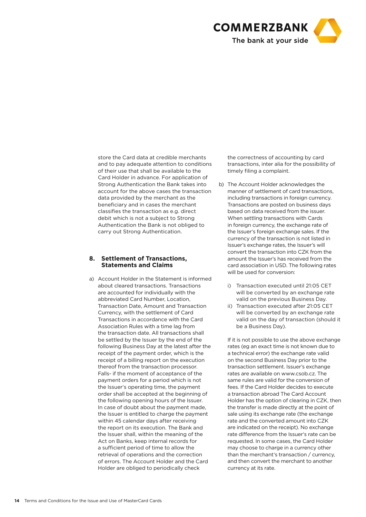

store the Card data at credible merchants and to pay adequate attention to conditions of their use that shall be available to the Card Holder in advance. For application of Strong Authentication the Bank takes into account for the above cases the transaction data provided by the merchant as the beneficiary and in cases the merchant classifies the transaction as e.g. direct debit which is not a subject to Strong Authentication the Bank is not obliged to carry out Strong Authentication.

#### **8. Settlement of Transactions, Statements and Claims**

a) Account Holder in the Statement is informed about cleared transactions. Transactions are accounted for individually with the abbreviated Card Number, Location, Transaction Date, Amount and Transaction Currency, with the settlement of Card Transactions in accordance with the Card Association Rules with a time lag from the transaction date. All transactions shall be settled by the Issuer by the end of the following Business Day at the latest after the receipt of the payment order, which is the receipt of a billing report on the execution thereof from the transaction processor. Falls- if the moment of acceptance of the payment orders for a period which is not the Issuer's operating time, the payment order shall be accepted at the beginning of the following opening hours of the Issuer. In case of doubt about the payment made, the Issuer is entitled to charge the payment within 45 calendar days after receiving the report on its execution. The Bank and the Issuer shall, within the meaning of the Act on Banks, keep internal records for a sufficient period of time to allow the retrieval of operations and the correction of errors. The Account Holder and the Card Holder are obliged to periodically check

the correctness of accounting by card transactions, inter alia for the possibility of timely filing a complaint.

- b) The Account Holder acknowledges the manner of settlement of card transactions, including transactions in foreign currency. Transactions are posted on business days based on data received from the issuer. When settling transactions with Cards in foreign currency, the exchange rate of the Issuer's foreign exchange sales. If the currency of the transaction is not listed in Issuer's exchange rates, the Issuer's will convert the transaction into CZK from the amount the Issuer's has received from the card association in USD. The following rates will be used for conversion:
	- i) Transaction executed until 21:05 CET will be converted by an exchange rate valid on the previous Business Day.
	- ii) Transaction executed after 21:05 CET will be converted by an exchange rate valid on the day of transaction (should it be a Business Day).

If it is not possible to use the above exchange rates (eg an exact time is not known due to a technical error) the exchange rate valid on the second Business Day prior to the transaction settlement. Issuer's exchange rates are available on www.csob.cz. The same rules are valid for the conversion of fees. If the Card Holder decides to execute a transaction abroad The Card Account Holder has the option of clearing in CZK, then the transfer is made directly at the point of sale using its exchange rate (the exchange rate and the converted amount into CZK are indicated on the receipt). No exchange rate difference from the Issuer's rate can be requested. In some cases, the Card Holder may choose to charge in a currency other than the merchant's transaction / currency, and then convert the merchant to another currency at its rate.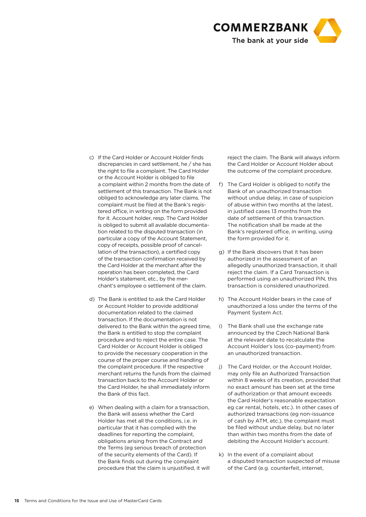

- c) If the Card Holder or Account Holder finds discrepancies in card settlement, he / she has the right to file a complaint. The Card Holder or the Account Holder is obliged to file a complaint within 2 months from the date of settlement of this transaction. The Bank is not obliged to acknowledge any later claims. The complaint must be filed at the Bank's registered office, in writing on the form provided for it. Account holder, resp. The Card Holder is obliged to submit all available documentation related to the disputed transaction (in particular a copy of the Account Statement, copy of receipts, possible proof of cancellation of the transaction), a certified copy of the transaction confirmation received by the Card Holder at the merchant after the operation has been completed, the Card Holder's statement, etc., by the merchant's employee o settlement of the claim.
- d) The Bank is entitled to ask the Card Holder or Account Holder to provide additional documentation related to the claimed transaction. If the documentation is not delivered to the Bank within the agreed time, the Bank is entitled to stop the complaint procedure and to reject the entire case. The Card Holder or Account Holder is obliged to provide the necessary cooperation in the course of the proper course and handling of the complaint procedure. If the respective merchant returns the funds from the claimed transaction back to the Account Holder or the Card Holder, he shall immediately inform the Bank of this fact.
- e) When dealing with a claim for a transaction, the Bank will assess whether the Card Holder has met all the conditions, i.e. in particular that it has complied with the deadlines for reporting the complaint, obligations arising from the Contract and the Terms (eg serious breach of protection of the security elements of the Card). If the Bank finds out during the complaint procedure that the claim is unjustified, it will

reject the claim. The Bank will always inform the Card Holder or Account Holder about the outcome of the complaint procedure.

- f) The Card Holder is obliged to notify the Bank of an unauthorized transaction without undue delay, in case of suspicion of abuse within two months at the latest, in justified cases 13 months from the date of settlement of this transaction. The notification shall be made at the Bank's registered office, in writing, using the form provided for it.
- g) If the Bank discovers that it has been authorized in the assessment of an allegedly unauthorized transaction, it shall reject the claim. If a Card Transaction is performed using an unauthorized PIN, this transaction is considered unauthorized.
- h) The Account Holder bears in the case of unauthorized a loss under the terms of the Payment System Act.
- i) The Bank shall use the exchange rate announced by the Czech National Bank at the relevant date to recalculate the Account Holder's loss (co-payment) from an unauthorized transaction.
- j) The Card Holder, or the Account Holder, may only file an Authorized Transaction within 8 weeks of its creation, provided that no exact amount has been set at the time of authorization or that amount exceeds the Card Holder's reasonable expectation eg car rental, hotels, etc.). In other cases of authorized transactions (eg non-issuance of cash by ATM, etc.), the complaint must be filed without undue delay, but no later than within two months from the date of debiting the Account Holder's account.
- k) In the event of a complaint about a disputed transaction suspected of misuse of the Card (e.g. counterfeit, internet,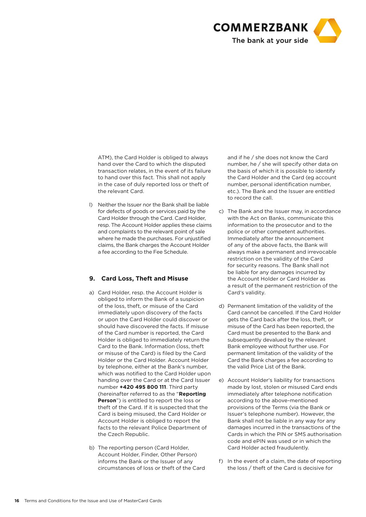

ATM), the Card Holder is obliged to always hand over the Card to which the disputed transaction relates, in the event of its failure to hand over this fact. This shall not apply in the case of duly reported loss or theft of the relevant Card.

l) Neither the Issuer nor the Bank shall be liable for defects of goods or services paid by the Card Holder through the Card. Card Holder, resp. The Account Holder applies these claims and complaints to the relevant point of sale where he made the purchases. For unjustified claims, the Bank charges the Account Holder a fee according to the Fee Schedule.

# **9. Card Loss, Theft and Misuse**

- a) Card Holder, resp. the Account Holder is obliged to inform the Bank of a suspicion of the loss, theft, or misuse of the Card immediately upon discovery of the facts or upon the Card Holder could discover or should have discovered the facts. If misuse of the Card number is reported, the Card Holder is obliged to immediately return the Card to the Bank. Information (loss, theft or misuse of the Card) is filed by the Card Holder or the Card Holder. Account Holder by telephone, either at the Bank's number, which was notified to the Card Holder upon handing over the Card or at the Card Issuer number **+420 495 800 111**. Third party (hereinafter referred to as the "**Reporting Person**") is entitled to report the loss or theft of the Card. If it is suspected that the Card is being misused, the Card Holder or Account Holder is obliged to report the facts to the relevant Police Department of the Czech Republic.
- b) The reporting person (Card Holder, Account Holder, Finder, Other Person) informs the Bank or the Issuer of any circumstances of loss or theft of the Card

and if he / she does not know the Card number, he / she will specify other data on the basis of which it is possible to identify the Card Holder and the Card (eg account number, personal identification number, etc.). The Bank and the Issuer are entitled to record the call.

- c) The Bank and the Issuer may, in accordance with the Act on Banks, communicate this information to the prosecutor and to the police or other competent authorities. Immediately after the announcement of any of the above facts, the Bank will always make a permanent and irrevocable restriction on the validity of the Card for security reasons. The Bank shall not be liable for any damages incurred by the Account Holder or Card Holder as a result of the permanent restriction of the Card's validity.
- d) Permanent limitation of the validity of the Card cannot be cancelled. If the Card Holder gets the Card back after the loss, theft, or misuse of the Card has been reported, the Card must be presented to the Bank and subsequently devalued by the relevant Bank employee without further use. For permanent limitation of the validity of the Card the Bank charges a fee according to the valid Price List of the Bank.
- e) Account Holder's liability for transactions made by lost, stolen or misused Card ends immediately after telephone notification according to the above-mentioned provisions of the Terms (via the Bank or Issuer's telephone number). However, the Bank shall not be liable in any way for any damages incurred in the transactions of the Cards in which the PIN or SMS authorisation code and ePIN was used or in which the Card Holder acted fraudulently.
- f) In the event of a claim, the date of reporting the loss / theft of the Card is decisive for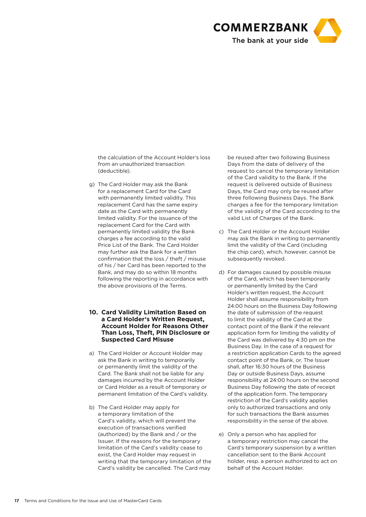

the calculation of the Account Holder's loss from an unauthorized transaction (deductible).

g) The Card Holder may ask the Bank for a replacement Card for the Card with permanently limited validity. This replacement Card has the same expiry date as the Card with permanently limited validity. For the issuance of the replacement Card for the Card with permanently limited validity the Bank charges a fee according to the valid Price List of the Bank. The Card Holder may further ask the Bank for a written confirmation that the loss / theft / misuse of his / her Card has been reported to the Bank, and may do so within 18 months following the reporting in accordance with the above provisions of the Terms.

#### **10. Card Validity Limitation Based on a Card Holder's Written Request, Account Holder for Reasons Other Than Loss, Theft, PIN Disclosure or Suspected Card Misuse**

- a) The Card Holder or Account Holder may ask the Bank in writing to temporarily or permanently limit the validity of the Card. The Bank shall not be liable for any damages incurred by the Account Holder or Card Holder as a result of temporary or permanent limitation of the Card's validity.
- b) The Card Holder may apply for a temporary limitation of the Card's validity, which will prevent the execution of transactions verified (authorized) by the Bank and / or the Issuer. If the reasons for the temporary limitation of the Card's validity cease to exist, the Card Holder may request in writing that the temporary limitation of the Card's validity be cancelled. The Card may

be reused after two following Business Days from the date of delivery of the request to cancel the temporary limitation of the Card validity to the Bank. If the request is delivered outside of Business Days, the Card may only be reused after three following Business Days. The Bank charges a fee for the temporary limitation of the validity of the Card according to the valid List of Charges of the Bank.

- c) The Card Holder or the Account Holder may ask the Bank in writing to permanently limit the validity of the Card (including the chip card), which, however, cannot be subsequently revoked.
- d) For damages caused by possible misuse of the Card, which has been temporarily or permanently limited by the Card Holder's written request, the Account Holder shall assume responsibility from 24:00 hours on the Business Day following the date of submission of the request to limit the validity of the Card at the contact point of the Bank if the relevant application form for limiting the validity of the Card was delivered by 4:30 pm on the Business Day. In the case of a request for a restriction application Cards to the agreed contact point of the Bank, or. The Issuer shall, after 16:30 hours of the Business Day or outside Business Days, assume responsibility at 24:00 hours on the second Business Day following the date of receipt of the application form. The temporary restriction of the Card's validity applies only to authorized transactions and only for such transactions the Bank assumes responsibility in the sense of the above.
- e) Only a person who has applied for a temporary restriction may cancel the Card's temporary suspension by a written cancellation sent to the Bank Account holder, resp. a person authorized to act on behalf of the Account Holder.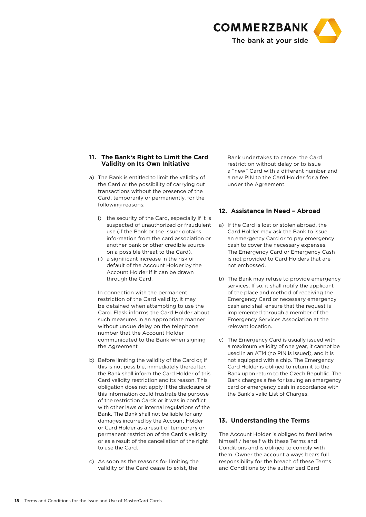

## **11. The Bank's Right to Limit the Card Validity on Its Own Initiative**

- a) The Bank is entitled to limit the validity of the Card or the possibility of carrying out transactions without the presence of the Card, temporarily or permanently, for the following reasons:
	- i) the security of the Card, especially if it is suspected of unauthorized or fraudulent use (if the Bank or the Issuer obtains information from the card association or another bank or other credible source on a possible threat to the Card),
	- ii) a significant increase in the risk of default of the Account Holder by the Account Holder if it can be drawn through the Card.

In connection with the permanent restriction of the Card validity, it may be detained when attempting to use the Card. Flask informs the Card Holder about such measures in an appropriate manner without undue delay on the telephone number that the Account Holder communicated to the Bank when signing the Agreement

- b) Before limiting the validity of the Card or, if this is not possible, immediately thereafter, the Bank shall inform the Card Holder of this Card validity restriction and its reason. This obligation does not apply if the disclosure of this information could frustrate the purpose of the restriction Cards or it was in conflict with other laws or internal regulations of the Bank. The Bank shall not be liable for any damages incurred by the Account Holder or Card Holder as a result of temporary or permanent restriction of the Card's validity or as a result of the cancellation of the right to use the Card.
- c) As soon as the reasons for limiting the validity of the Card cease to exist, the

Bank undertakes to cancel the Card restriction without delay or to issue a "new" Card with a different number and a new PIN to the Card Holder for a fee under the Agreement.

## **12. Assistance In Need – Abroad**

- a) If the Card is lost or stolen abroad, the Card Holder may ask the Bank to issue an emergency Card or to pay emergency cash to cover the necessary expenses. The Emergency Card or Emergency Cash is not provided to Card Holders that are not embossed.
- b) The Bank may refuse to provide emergency services. If so, it shall notify the applicant of the place and method of receiving the Emergency Card or necessary emergency cash and shall ensure that the request is implemented through a member of the Emergency Services Association at the relevant location.
- c) The Emergency Card is usually issued with a maximum validity of one year, it cannot be used in an ATM (no PIN is issued), and it is not equipped with a chip. The Emergency Card Holder is obliged to return it to the Bank upon return to the Czech Republic. The Bank charges a fee for issuing an emergency card or emergency cash in accordance with the Bank's valid List of Charges.

## **13. Understanding the Terms**

The Account Holder is obliged to familiarize himself / herself with these Terms and Conditions and is obliged to comply with them. Owner the account always bears full responsibility for the breach of these Terms and Conditions by the authorized Card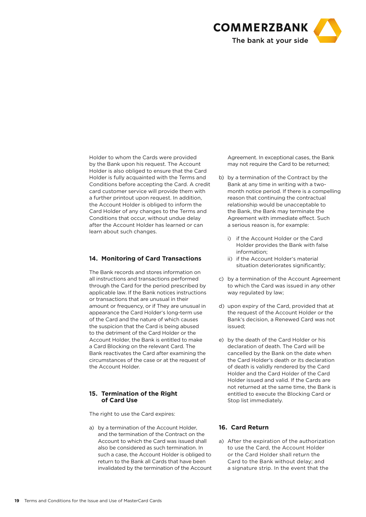

Holder to whom the Cards were provided by the Bank upon his request. The Account Holder is also obliged to ensure that the Card Holder is fully acquainted with the Terms and Conditions before accepting the Card. A credit card customer service will provide them with a further printout upon request. In addition, the Account Holder is obliged to inform the Card Holder of any changes to the Terms and Conditions that occur, without undue delay after the Account Holder has learned or can learn about such changes.

# **14. Monitoring of Card Transactions**

The Bank records and stores information on all instructions and transactions performed through the Card for the period prescribed by applicable law. If the Bank notices instructions or transactions that are unusual in their amount or frequency, or if They are unusual in appearance the Card Holder's long-term use of the Card and the nature of which causes the suspicion that the Card is being abused to the detriment of the Card Holder or the Account Holder, the Bank is entitled to make a Card Blocking on the relevant Card. The Bank reactivates the Card after examining the circumstances of the case or at the request of the Account Holder.

#### **15. Termination of the Right of Card Use**

The right to use the Card expires:

a) by a termination of the Account Holder, and the termination of the Contract on the Account to which the Card was issued shall also be considered as such termination. In such a case, the Account Holder is obliged to return to the Bank all Cards that have been invalidated by the termination of the Account Agreement. In exceptional cases, the Bank may not require the Card to be returned;

- b) by a termination of the Contract by the Bank at any time in writing with a twomonth notice period. If there is a compelling reason that continuing the contractual relationship would be unacceptable to the Bank, the Bank may terminate the Agreement with immediate effect. Such a serious reason is, for example:
	- i) if the Account Holder or the Card Holder provides the Bank with false information;
	- ii) if the Account Holder's material situation deteriorates significantly;
- c) by a termination of the Account Agreement to which the Card was issued in any other way regulated by law;
- d) upon expiry of the Card, provided that at the request of the Account Holder or the Bank's decision, a Renewed Card was not issued;
- e) by the death of the Card Holder or his declaration of death. The Card will be cancelled by the Bank on the date when the Card Holder's death or its declaration of death is validly rendered by the Card Holder and the Card Holder of the Card Holder issued and valid. If the Cards are not returned at the same time, the Bank is entitled to execute the Blocking Card or Stop list immediately.

# **16. Card Return**

a) After the expiration of the authorization to use the Card, the Account Holder or the Card Holder shall return the Card to the Bank without delay; and a signature strip. In the event that the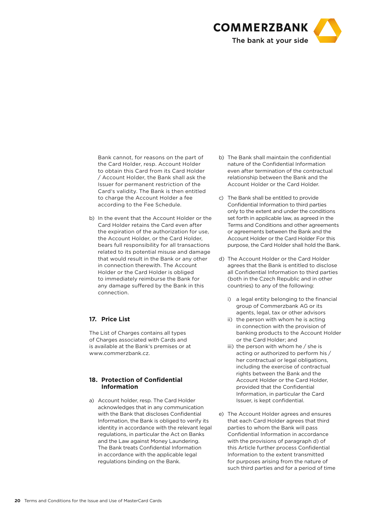

Bank cannot, for reasons on the part of the Card Holder, resp. Account Holder to obtain this Card from its Card Holder / Account Holder, the Bank shall ask the Issuer for permanent restriction of the Card's validity. The Bank is then entitled to charge the Account Holder a fee according to the Fee Schedule.

b) In the event that the Account Holder or the Card Holder retains the Card even after the expiration of the authorization for use, the Account Holder, or the Card Holder, bears full responsibility for all transactions related to its potential misuse and damage that would result in the Bank or any other in connection therewith. The Account Holder or the Card Holder is obliged to immediately reimburse the Bank for any damage suffered by the Bank in this connection.

# **17. Price List**

The List of Charges contains all types of Charges associated with Cards and is available at the Bank's premises or at www.commerzbank.cz.

#### **18. Protection of Confidential Information**

a) Account holder, resp. The Card Holder acknowledges that in any communication with the Bank that discloses Confidential Information, the Bank is obliged to verify its identity in accordance with the relevant legal regulations, in particular the Act on Banks and the Law against Money Laundering. The Bank treats Confidential Information in accordance with the applicable legal regulations binding on the Bank.

- b) The Bank shall maintain the confidential nature of the Confidential Information even after termination of the contractual relationship between the Bank and the Account Holder or the Card Holder.
- c) The Bank shall be entitled to provide Confidential Information to third parties only to the extent and under the conditions set forth in applicable law, as agreed in the Terms and Conditions and other agreements or agreements between the Bank and the Account Holder or the Card Holder For this purpose, the Card Holder shall hold the Bank.
- d) The Account Holder or the Card Holder agrees that the Bank is entitled to disclose all Confidential Information to third parties (both in the Czech Republic and in other countries) to any of the following:
	- i) a legal entity belonging to the financial group of Commerzbank AG or its agents, legal, tax or other advisors
	- ii) the person with whom he is acting in connection with the provision of banking products to the Account Holder or the Card Holder; and
	- iii) the person with whom he / she is acting or authorized to perform his / her contractual or legal obligations, including the exercise of contractual rights between the Bank and the Account Holder or the Card Holder, provided that the Confidential Information, in particular the Card Issuer, is kept confidential.
- e) The Account Holder agrees and ensures that each Card Holder agrees that third parties to whom the Bank will pass Confidential Information in accordance with the provisions of paragraph d) of this Article further process Confidential Information to the extent transmitted for purposes arising from the nature of such third parties and for a period of time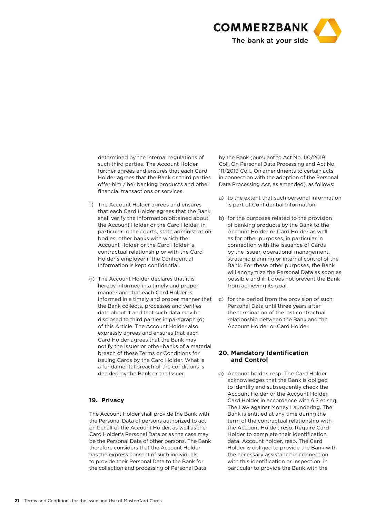

determined by the internal regulations of such third parties. The Account Holder further agrees and ensures that each Card Holder agrees that the Bank or third parties offer him / her banking products and other financial transactions or services.

- f) The Account Holder agrees and ensures that each Card Holder agrees that the Bank shall verify the information obtained about the Account Holder or the Card Holder, in particular in the courts, state administration bodies, other banks with which the Account Holder or the Card Holder is contractual relationship or with the Card Holder's employer if the Confidential Information is kept confidential.
- g) The Account Holder declares that it is hereby informed in a timely and proper manner and that each Card Holder is informed in a timely and proper manner that the Bank collects, processes and verifies data about it and that such data may be disclosed to third parties in paragraph (d) of this Article. The Account Holder also expressly agrees and ensures that each Card Holder agrees that the Bank may notify the Issuer or other banks of a material breach of these Terms or Conditions for issuing Cards by the Card Holder. What is a fundamental breach of the conditions is decided by the Bank or the Issuer.

## **19. Privacy**

The Account Holder shall provide the Bank with the Personal Data of persons authorized to act on behalf of the Account Holder, as well as the Card Holder's Personal Data or as the case may be the Personal Data of other persons. The Bank therefore considers that the Account Holder has the express consent of such individuals to provide their Personal Data to the Bank for the collection and processing of Personal Data

by the Bank (pursuant to Act No. 110/2019 Coll. On Personal Data Processing and Act No. 111/2019 Coll., On amendments to certain acts in connection with the adoption of the Personal Data Processing Act, as amended), as follows:

- a) to the extent that such personal information is part of Confidential Information;
- b) for the purposes related to the provision of banking products by the Bank to the Account Holder or Card Holder as well as for other purposes, in particular in connection with the issuance of Cards by the Issuer, operational management, strategic planning or internal control of the Bank. For these other purposes, the Bank will anonymize the Personal Data as soon as possible and if it does not prevent the Bank from achieving its goal,
- c) for the period from the provision of such Personal Data until three years after the termination of the last contractual relationship between the Bank and the Account Holder or Card Holder.

#### **20. Mandatory Identification and Control**

a) Account holder, resp. The Card Holder acknowledges that the Bank is obliged to identify and subsequently check the Account Holder or the Account Holder. Card Holder in accordance with § 7 et seq. The Law against Money Laundering. The Bank is entitled at any time during the term of the contractual relationship with the Account Holder, resp. Require Card Holder to complete their identification data. Account holder, resp. The Card Holder is obliged to provide the Bank with the necessary assistance in connection with this identification or inspection, in particular to provide the Bank with the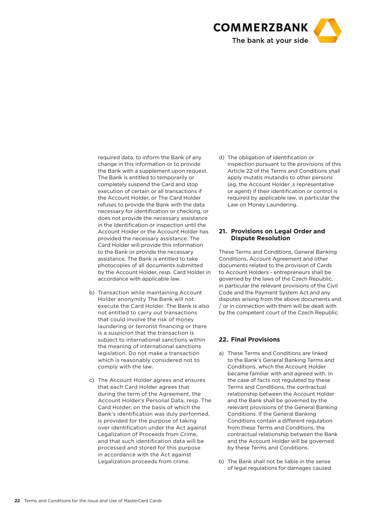

required data, to inform the Bank of any change in this information or to provide the Bank with a supplement upon request. The Bank is entitled to temporarily or completely suspend the Card and stop execution of certain or all transactions if the Account Holder, or The Card Holder refuses to provide the Bank with the data necessary for identification or checking, or does not provide the necessary assistance in the identification or inspection until the Account Holder or the Account Holder has provided the necessary assistance. The Card Holder will provide this information to the Bank or provide the necessary assistance. The Bank is entitled to take photocopies of all documents submitted by the Account Holder, resp. Card Holder in accordance with applicable law.

- b) Transaction while maintaining Account Holder anonymity The Bank will not execute the Card Holder. The Bank is also not entitled to carry out transactions that could involve the risk of money laundering or terrorist financing or there is a suspicion that the transaction is subject to international sanctions within the meaning of international sanctions legislation. Do not make a transaction which is reasonably considered not to comply with the law.
- c) The Account Holder agrees and ensures that each Card Holder agrees that during the term of the Agreement, the Account Holder's Personal Data, resp. The Card Holder, on the basis of which the Bank's identification was duly performed, is provided for the purpose of taking over identification under the Act against Legalization of Proceeds from Crime, and that such identification data will be processed and stored for this purpose in accordance with the Act against Legalization proceeds from crime.

d) The obligation of identification or inspection pursuant to the provisions of this Article 22 of the Terms and Conditions shall apply mutatis mutandis to other persons (eg, the Account Holder, s representative or agent) if their identification or control is required by applicable law, in particular the Law on Money Laundering.

#### **21. Provisions on Legal Order and Dispute Resolution**

These Terms and Conditions, General Banking Conditions, Account Agreement and other documents related to the provision of Cards to Account Holders - entrepreneurs shall be governed by the laws of the Czech Republic, in particular the relevant provisions of the Civil Code and the Payment System Act and any disputes arising from the above documents and / or in connection with them will be dealt with by the competent court of the Czech Republic.

# **22. Final Provisions**

- a) These Terms and Conditions are linked to the Bank's General Banking Terms and Conditions, which the Account Holder became familiar with and agreed with. In the case of facts not regulated by these Terms and Conditions, the contractual relationship between the Account Holder and the Bank shall be governed by the relevant provisions of the General Banking Conditions. If the General Banking Conditions contain a different regulation from these Terms and Conditions, the contractual relationship between the Bank and the Account Holder will be governed by these Terms and Conditions.
- b) The Bank shall not be liable in the sense of legal regulations for damages caused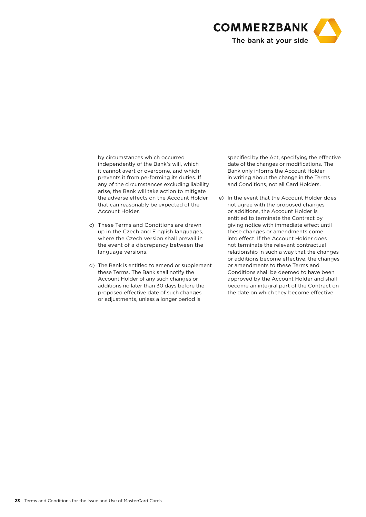

by circumstances which occurred independently of the Bank's will, which it cannot avert or overcome, and which prevents it from performing its duties. If any of the circumstances excluding liability arise, the Bank will take action to mitigate the adverse effects on the Account Holder that can reasonably be expected of the Account Holder.

- c) These Terms and Conditions are drawn up in the Czech and E nglish languages, where the Czech version shall prevail in the event of a discrepancy between the language versions.
- d) The Bank is entitled to amend or supplement these Terms. The Bank shall notify the Account Holder of any such changes or additions no later than 30 days before the proposed effective date of such changes or adjustments, unless a longer period is

specified by the Act, specifying the effective date of the changes or modifications. The Bank only informs the Account Holder in writing about the change in the Terms and Conditions, not all Card Holders.

e) In the event that the Account Holder does not agree with the proposed changes or additions, the Account Holder is entitled to terminate the Contract by giving notice with immediate effect until these changes or amendments come into effect. If the Account Holder does not terminate the relevant contractual relationship in such a way that the changes or additions become effective, the changes or amendments to these Terms and Conditions shall be deemed to have been approved by the Account Holder and shall become an integral part of the Contract on the date on which they become effective.